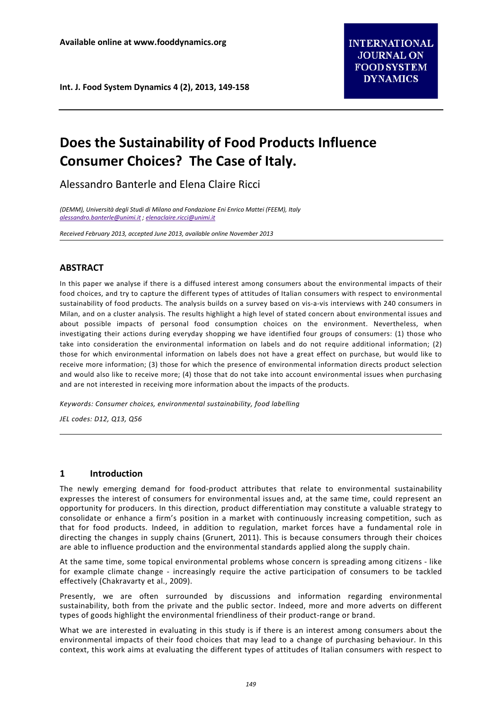# **Does the Sustainability of Food Products Influence Consumer Choices? The Case of Italy.**

Alessandro Banterle and Elena Claire Ricci

*(DEMM), Università degli Studi di Milano and Fondazione Eni Enrico Mattei (FEEM), Italy [alessandro.banterle@unimi.it](mailto:alessandro.banterle@unimi.it) [; elenaclaire.ricci@unimi.it](mailto:elenaclaire.ricci@unimi.it)*

*Received February 2013, accepted June 2013, available online November 2013*

## **ABSTRACT**

In this paper we analyse if there is a diffused interest among consumers about the environmental impacts of their food choices, and try to capture the different types of attitudes of Italian consumers with respect to environmental sustainability of food products. The analysis builds on a survey based on vis-a-vis interviews with 240 consumers in Milan, and on a cluster analysis. The results highlight a high level of stated concern about environmental issues and about possible impacts of personal food consumption choices on the environment. Nevertheless, when investigating their actions during everyday shopping we have identified four groups of consumers: (1) those who take into consideration the environmental information on labels and do not require additional information; (2) those for which environmental information on labels does not have a great effect on purchase, but would like to receive more information; (3) those for which the presence of environmental information directs product selection and would also like to receive more; (4) those that do not take into account environmental issues when purchasing and are not interested in receiving more information about the impacts of the products.

*Keywords: Consumer choices, environmental sustainability, food labelling*

*JEL codes: D12, Q13, Q56*

## **1 Introduction**

The newly emerging demand for food-product attributes that relate to environmental sustainability expresses the interest of consumers for environmental issues and, at the same time, could represent an opportunity for producers. In this direction, product differentiation may constitute a valuable strategy to consolidate or enhance a firm's position in a market with continuously increasing competition, such as that for food products. Indeed, in addition to regulation, market forces have a fundamental role in directing the changes in supply chains (Grunert, 2011). This is because consumers through their choices are able to influence production and the environmental standards applied along the supply chain.

At the same time, some topical environmental problems whose concern is spreading among citizens - like for example climate change - increasingly require the active participation of consumers to be tackled effectively (Chakravarty et al., 2009).

Presently, we are often surrounded by discussions and information regarding environmental sustainability, both from the private and the public sector. Indeed, more and more adverts on different types of goods highlight the environmental friendliness of their product-range or brand.

What we are interested in evaluating in this study is if there is an interest among consumers about the environmental impacts of their food choices that may lead to a change of purchasing behaviour. In this context, this work aims at evaluating the different types of attitudes of Italian consumers with respect to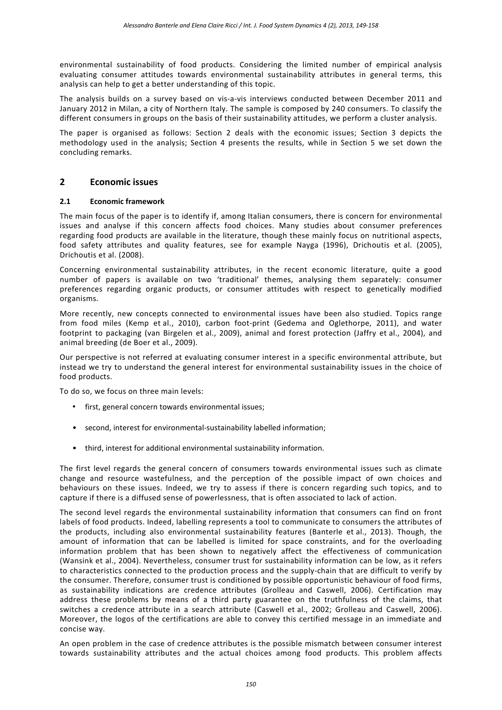environmental sustainability of food products. Considering the limited number of empirical analysis evaluating consumer attitudes towards environmental sustainability attributes in general terms, this analysis can help to get a better understanding of this topic.

The analysis builds on a survey based on vis-a-vis interviews conducted between December 2011 and January 2012 in Milan, a city of Northern Italy. The sample is composed by 240 consumers. To classify the different consumers in groups on the basis of their sustainability attitudes, we perform a cluster analysis.

The paper is organised as follows: Section 2 deals with the economic issues; Section 3 depicts the methodology used in the analysis; Section 4 presents the results, while in Section 5 we set down the concluding remarks.

## **2 Economic issues**

#### **2.1 Economic framework**

The main focus of the paper is to identify if, among Italian consumers, there is concern for environmental issues and analyse if this concern affects food choices. Many studies about consumer preferences regarding food products are available in the literature, though these mainly focus on nutritional aspects, food safety attributes and quality features, see for example Nayga (1996), Drichoutis et al. (2005), Drichoutis et al. (2008).

Concerning environmental sustainability attributes, in the recent economic literature, quite a good number of papers is available on two 'traditional' themes, analysing them separately: consumer preferences regarding organic products, or consumer attitudes with respect to genetically modified organisms.

More recently, new concepts connected to environmental issues have been also studied. Topics range from food miles (Kemp et al., 2010), carbon foot-print (Gedema and Oglethorpe, 2011), and water footprint to packaging (van Birgelen et al., 2009), animal and forest protection (Jaffry et al., 2004), and animal breeding (de Boer et al., 2009).

Our perspective is not referred at evaluating consumer interest in a specific environmental attribute, but instead we try to understand the general interest for environmental sustainability issues in the choice of food products.

To do so, we focus on three main levels:

- first, general concern towards environmental issues;
- second, interest for environmental-sustainability labelled information;
- third, interest for additional environmental sustainability information.

The first level regards the general concern of consumers towards environmental issues such as climate change and resource wastefulness, and the perception of the possible impact of own choices and behaviours on these issues. Indeed, we try to assess if there is concern regarding such topics, and to capture if there is a diffused sense of powerlessness, that is often associated to lack of action.

The second level regards the environmental sustainability information that consumers can find on front labels of food products. Indeed, labelling represents a tool to communicate to consumers the attributes of the products, including also environmental sustainability features (Banterle et al., 2013). Though, the amount of information that can be labelled is limited for space constraints, and for the overloading information problem that has been shown to negatively affect the effectiveness of communication (Wansink et al., 2004). Nevertheless, consumer trust for sustainability information can be low, as it refers to characteristics connected to the production process and the supply-chain that are difficult to verify by the consumer. Therefore, consumer trust is conditioned by possible opportunistic behaviour of food firms, as sustainability indications are credence attributes (Grolleau and Caswell, 2006). Certification may address these problems by means of a third party guarantee on the truthfulness of the claims, that switches a credence attribute in a search attribute (Caswell et al., 2002; Grolleau and Caswell, 2006). Moreover, the logos of the certifications are able to convey this certified message in an immediate and concise way.

An open problem in the case of credence attributes is the possible mismatch between consumer interest towards sustainability attributes and the actual choices among food products. This problem affects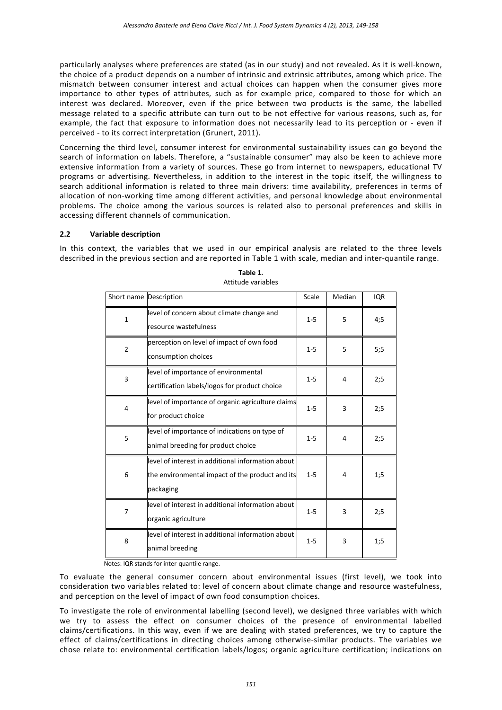particularly analyses where preferences are stated (as in our study) and not revealed. As it is well-known, the choice of a product depends on a number of intrinsic and extrinsic attributes, among which price. The mismatch between consumer interest and actual choices can happen when the consumer gives more importance to other types of attributes, such as for example price, compared to those for which an interest was declared. Moreover, even if the price between two products is the same, the labelled message related to a specific attribute can turn out to be not effective for various reasons, such as, for example, the fact that exposure to information does not necessarily lead to its perception or - even if perceived - to its correct interpretation (Grunert, 2011).

Concerning the third level, consumer interest for environmental sustainability issues can go beyond the search of information on labels. Therefore, a "sustainable consumer" may also be keen to achieve more extensive information from a variety of sources. These go from internet to newspapers, educational TV programs or advertising. Nevertheless, in addition to the interest in the topic itself, the willingness to search additional information is related to three main drivers: time availability, preferences in terms of allocation of non-working time among different activities, and personal knowledge about environmental problems. The choice among the various sources is related also to personal preferences and skills in accessing different channels of communication.

## **2.2 Variable description**

In this context, the variables that we used in our empirical analysis are related to the three levels described in the previous section and are reported in Table 1 with scale, median and inter-quantile range.

| Short name Description |                                                                                                                   | Scale   | Median | <b>IQR</b> |
|------------------------|-------------------------------------------------------------------------------------------------------------------|---------|--------|------------|
| $\mathbf{1}$           | level of concern about climate change and<br>resource wastefulness                                                | $1 - 5$ | 5      | 4;5        |
| $\overline{2}$         | perception on level of impact of own food<br>consumption choices                                                  | $1 - 5$ | 5      | 5;5        |
| 3                      | level of importance of environmental<br>certification labels/logos for product choice                             | $1 - 5$ | 4      | 2:5        |
| 4                      | level of importance of organic agriculture claims<br>for product choice                                           | $1 - 5$ | 3      | 2:5        |
| 5                      | level of importance of indications on type of<br>animal breeding for product choice                               | $1 - 5$ | 4      | 2:5        |
| 6                      | level of interest in additional information about<br>the environmental impact of the product and its<br>packaging | $1 - 5$ | 4      | 1;5        |
| 7                      | level of interest in additional information about<br>organic agriculture                                          | $1 - 5$ | 3      | 2:5        |
| 8                      | level of interest in additional information about<br>animal breeding                                              | $1 - 5$ | 3      | 1:5        |

| Table 1.           |
|--------------------|
| Attitude variables |

Notes: IQR stands for inter-quantile range.

To evaluate the general consumer concern about environmental issues (first level), we took into consideration two variables related to: level of concern about climate change and resource wastefulness, and perception on the level of impact of own food consumption choices.

To investigate the role of environmental labelling (second level), we designed three variables with which we try to assess the effect on consumer choices of the presence of environmental labelled claims/certifications. In this way, even if we are dealing with stated preferences, we try to capture the effect of claims/certifications in directing choices among otherwise-similar products. The variables we chose relate to: environmental certification labels/logos; organic agriculture certification; indications on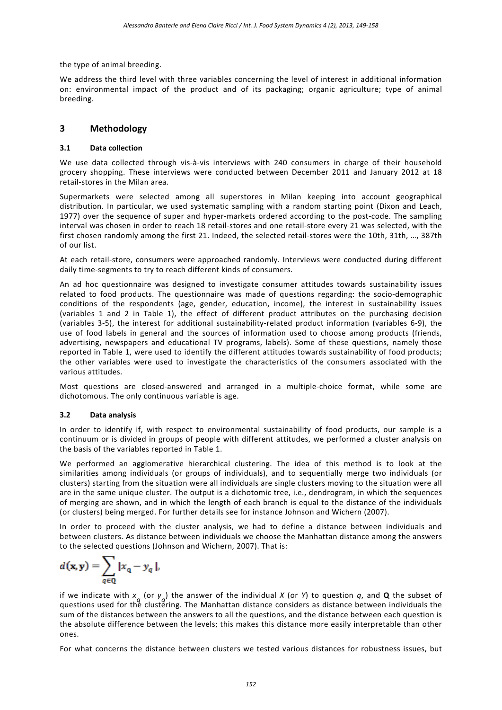the type of animal breeding.

We address the third level with three variables concerning the level of interest in additional information on: environmental impact of the product and of its packaging; organic agriculture; type of animal breeding.

## **3 Methodology**

## **3.1 Data collection**

We use data collected through vis-à-vis interviews with 240 consumers in charge of their household grocery shopping. These interviews were conducted between December 2011 and January 2012 at 18 retail-stores in the Milan area.

Supermarkets were selected among all superstores in Milan keeping into account geographical distribution. In particular, we used systematic sampling with a random starting point (Dixon and Leach, 1977) over the sequence of super and hyper-markets ordered according to the post-code. The sampling interval was chosen in order to reach 18 retail-stores and one retail-store every 21 was selected, with the first chosen randomly among the first 21. Indeed, the selected retail-stores were the 10th, 31th, …, 387th of our list.

At each retail-store, consumers were approached randomly. Interviews were conducted during different daily time-segments to try to reach different kinds of consumers.

An ad hoc questionnaire was designed to investigate consumer attitudes towards sustainability issues related to food products. The questionnaire was made of questions regarding: the socio-demographic conditions of the respondents (age, gender, education, income), the interest in sustainability issues (variables 1 and 2 in Table 1), the effect of different product attributes on the purchasing decision (variables 3-5), the interest for additional sustainability-related product information (variables 6-9), the use of food labels in general and the sources of information used to choose among products (friends, advertising, newspapers and educational TV programs, labels). Some of these questions, namely those reported in Table 1, were used to identify the different attitudes towards sustainability of food products; the other variables were used to investigate the characteristics of the consumers associated with the various attitudes.

Most questions are closed-answered and arranged in a multiple-choice format, while some are dichotomous. The only continuous variable is age.

## **3.2 Data analysis**

In order to identify if, with respect to environmental sustainability of food products, our sample is a continuum or is divided in groups of people with different attitudes, we performed a cluster analysis on the basis of the variables reported in Table 1.

We performed an agglomerative hierarchical clustering. The idea of this method is to look at the similarities among individuals (or groups of individuals), and to sequentially merge two individuals (or clusters) starting from the situation were all individuals are single clusters moving to the situation were all are in the same unique cluster. The output is a dichotomic tree, i.e., dendrogram, in which the sequences of merging are shown, and in which the length of each branch is equal to the distance of the individuals (or clusters) being merged. For further details see for instance Johnson and Wichern (2007).

In order to proceed with the cluster analysis, we had to define a distance between individuals and between clusters. As distance between individuals we choose the Manhattan distance among the answers to the selected questions (Johnson and Wichern, 2007). That is:

$$
d(\mathbf{x}, \mathbf{y}) = \sum_{q \in \mathbf{Q}} |x_q - y_q|,
$$

if we indicate with  $x_q$  (or  $y_q$ ) the answer of the individual *X* (or *Y*) to question *q*, and **Q** the subset of questions used for the clustering. The Manhattan distance considers as distance between individuals the sum of the distances between the answers to all the questions, and the distance between each question is the absolute difference between the levels; this makes this distance more easily interpretable than other ones.

For what concerns the distance between clusters we tested various distances for robustness issues, but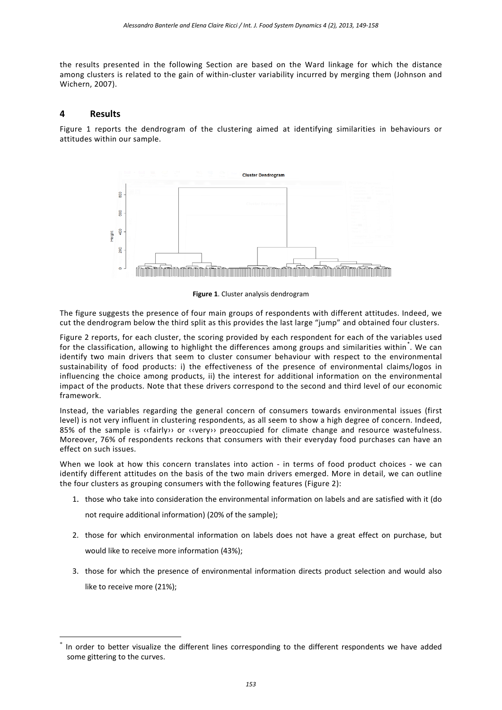the results presented in the following Section are based on the Ward linkage for which the distance among clusters is related to the gain of within-cluster variability incurred by merging them (Johnson and Wichern, 2007).

## **4 Results**

Figure 1 reports the dendrogram of the clustering aimed at identifying similarities in behaviours or attitudes within our sample.



**Figure 1**. Cluster analysis dendrogram

The figure suggests the presence of four main groups of respondents with different attitudes. Indeed, we cut the dendrogram below the third split as this provides the last large "jump" and obtained four clusters.

Figure 2 reports, for each cluster, the scoring provided by each respondent for each of the variables used for the classification, allowing to highlight the differences among groups and similarities within.<sup>[\\*](#page-4-0)</sup>. We can identify two main drivers that seem to cluster consumer behaviour with respect to the environmental sustainability of food products: i) the effectiveness of the presence of environmental claims/logos in influencing the choice among products, ii) the interest for additional information on the environmental impact of the products. Note that these drivers correspond to the second and third level of our economic framework.

Instead, the variables regarding the general concern of consumers towards environmental issues (first level) is not very influent in clustering respondents, as all seem to show a high degree of concern. Indeed, 85% of the sample is «fairly» or «very» preoccupied for climate change and resource wastefulness. Moreover, 76% of respondents reckons that consumers with their everyday food purchases can have an effect on such issues.

When we look at how this concern translates into action - in terms of food product choices - we can identify different attitudes on the basis of the two main drivers emerged. More in detail, we can outline the four clusters as grouping consumers with the following features (Figure 2):

1. those who take into consideration the environmental information on labels and are satisfied with it (do

not require additional information) (20% of the sample);

- 2. those for which environmental information on labels does not have a great effect on purchase, but would like to receive more information (43%);
- 3. those for which the presence of environmental information directs product selection and would also like to receive more (21%);

<span id="page-4-0"></span>In order to better visualize the different lines corresponding to the different respondents we have added some gittering to the curves.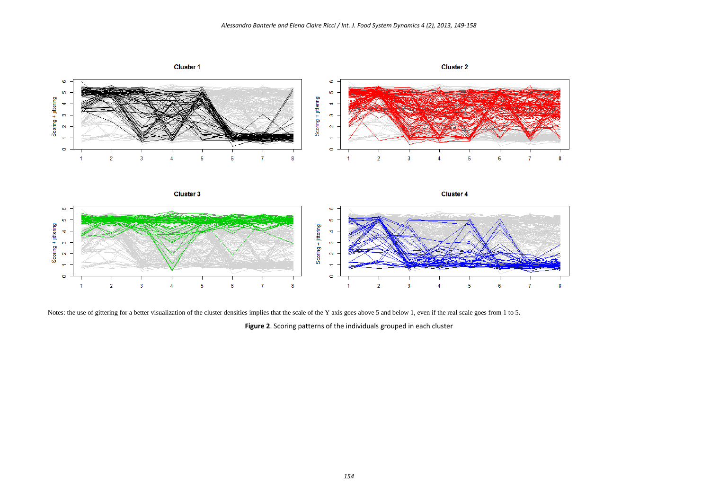

Notes: the use of gittering for a better visualization of the cluster densities implies that the scale of the Y axis goes above 5 and below 1, even if the real scale goes from 1 to 5.

**Figure 2**. Scoring patterns of the individuals grouped in each cluster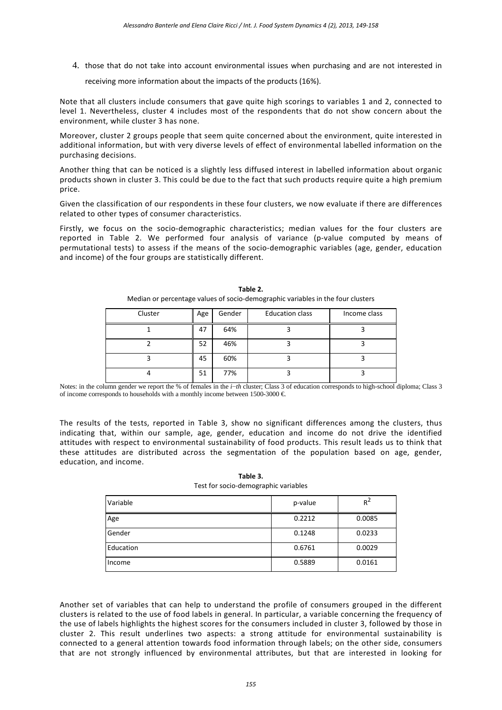4. those that do not take into account environmental issues when purchasing and are not interested in

receiving more information about the impacts of the products (16%).

Note that all clusters include consumers that gave quite high scorings to variables 1 and 2, connected to level 1. Nevertheless, cluster 4 includes most of the respondents that do not show concern about the environment, while cluster 3 has none.

Moreover, cluster 2 groups people that seem quite concerned about the environment, quite interested in additional information, but with very diverse levels of effect of environmental labelled information on the purchasing decisions.

Another thing that can be noticed is a slightly less diffused interest in labelled information about organic products shown in cluster 3. This could be due to the fact that such products require quite a high premium price.

Given the classification of our respondents in these four clusters, we now evaluate if there are differences related to other types of consumer characteristics.

Firstly, we focus on the socio-demographic characteristics; median values for the four clusters are reported in Table 2. We performed four analysis of variance (p-value computed by means of permutational tests) to assess if the means of the socio-demographic variables (age, gender, education and income) of the four groups are statistically different.

| Cluster | Age | Gender | <b>Education class</b> | Income class |
|---------|-----|--------|------------------------|--------------|
|         | 47  | 64%    |                        |              |
|         | 52  | 46%    |                        |              |
|         | 45  | 60%    |                        |              |
|         | 51  | 77%    |                        |              |

**Table 2.** Median or percentage values of socio-demographic variables in the four clusters

Notes: in the column gender we report the % of females in the *i*−*th* cluster; Class 3 of education corresponds to high-school diploma; Class 3 of income corresponds to households with a monthly income between 1500-3000  $\in$ 

The results of the tests, reported in Table 3, show no significant differences among the clusters, thus indicating that, within our sample, age, gender, education and income do not drive the identified attitudes with respect to environmental sustainability of food products. This result leads us to think that these attitudes are distributed across the segmentation of the population based on age, gender, education, and income.

| $\sim$    |         |        |
|-----------|---------|--------|
| Variable  | p-value | $R^2$  |
| Age       | 0.2212  | 0.0085 |
| Gender    | 0.1248  | 0.0233 |
| Education | 0.6761  | 0.0029 |
| Income    | 0.5889  | 0.0161 |

**Table 3.** Test for socio-demographic variables

Another set of variables that can help to understand the profile of consumers grouped in the different clusters is related to the use of food labels in general. In particular, a variable concerning the frequency of the use of labels highlights the highest scores for the consumers included in cluster 3, followed by those in cluster 2. This result underlines two aspects: a strong attitude for environmental sustainability is connected to a general attention towards food information through labels; on the other side, consumers that are not strongly influenced by environmental attributes, but that are interested in looking for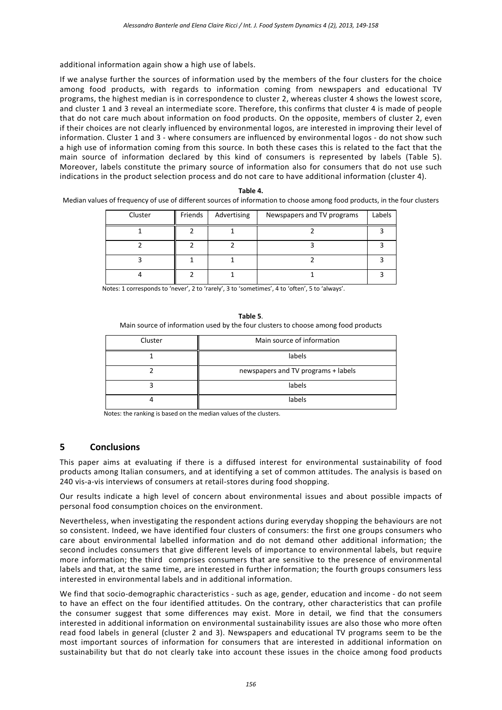additional information again show a high use of labels.

If we analyse further the sources of information used by the members of the four clusters for the choice among food products, with regards to information coming from newspapers and educational TV programs, the highest median is in correspondence to cluster 2, whereas cluster 4 shows the lowest score, and cluster 1 and 3 reveal an intermediate score. Therefore, this confirms that cluster 4 is made of people that do not care much about information on food products. On the opposite, members of cluster 2, even if their choices are not clearly influenced by environmental logos, are interested in improving their level of information. Cluster 1 and 3 - where consumers are influenced by environmental logos - do not show such a high use of information coming from this source. In both these cases this is related to the fact that the main source of information declared by this kind of consumers is represented by labels (Table 5). Moreover, labels constitute the primary source of information also for consumers that do not use such indications in the product selection process and do not care to have additional information (cluster 4).

| Cluster | Friends | Advertising | Newspapers and TV programs | Labels |
|---------|---------|-------------|----------------------------|--------|
|         |         |             |                            |        |
|         |         |             |                            |        |
|         |         |             |                            |        |
|         |         |             |                            |        |

| ۰. |
|----|
|    |

Median values of frequency of use of different sources of information to choose among food products, in the four clusters

Notes: 1 corresponds to 'never', 2 to 'rarely', 3 to 'sometimes', 4 to 'often', 5 to 'always'.

**Table 5**. Main source of information used by the four clusters to choose among food products

| Cluster | Main source of information          |
|---------|-------------------------------------|
|         | labels                              |
|         | newspapers and TV programs + labels |
|         | labels                              |
|         | labels                              |

Notes: the ranking is based on the median values of the clusters.

## **5 Conclusions**

This paper aims at evaluating if there is a diffused interest for environmental sustainability of food products among Italian consumers, and at identifying a set of common attitudes. The analysis is based on 240 vis-a-vis interviews of consumers at retail-stores during food shopping.

Our results indicate a high level of concern about environmental issues and about possible impacts of personal food consumption choices on the environment.

Nevertheless, when investigating the respondent actions during everyday shopping the behaviours are not so consistent. Indeed, we have identified four clusters of consumers: the first one groups consumers who care about environmental labelled information and do not demand other additional information; the second includes consumers that give different levels of importance to environmental labels, but require more information; the third comprises consumers that are sensitive to the presence of environmental labels and that, at the same time, are interested in further information; the fourth groups consumers less interested in environmental labels and in additional information.

We find that socio-demographic characteristics - such as age, gender, education and income - do not seem to have an effect on the four identified attitudes. On the contrary, other characteristics that can profile the consumer suggest that some differences may exist. More in detail, we find that the consumers interested in additional information on environmental sustainability issues are also those who more often read food labels in general (cluster 2 and 3). Newspapers and educational TV programs seem to be the most important sources of information for consumers that are interested in additional information on sustainability but that do not clearly take into account these issues in the choice among food products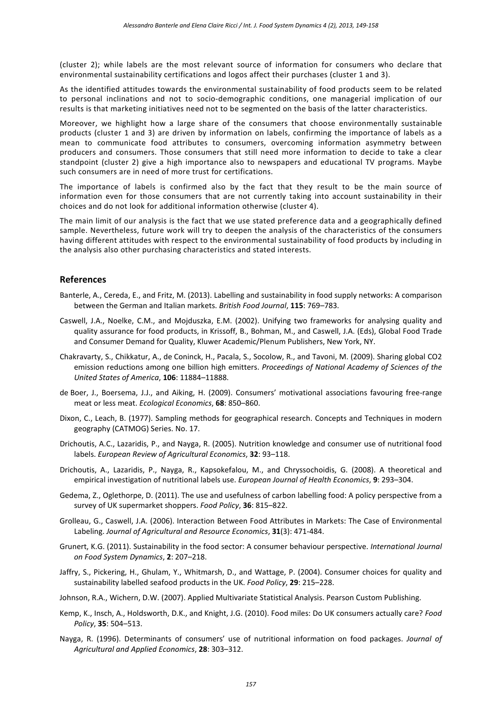(cluster 2); while labels are the most relevant source of information for consumers who declare that environmental sustainability certifications and logos affect their purchases (cluster 1 and 3).

As the identified attitudes towards the environmental sustainability of food products seem to be related to personal inclinations and not to socio-demographic conditions, one managerial implication of our results is that marketing initiatives need not to be segmented on the basis of the latter characteristics.

Moreover, we highlight how a large share of the consumers that choose environmentally sustainable products (cluster 1 and 3) are driven by information on labels, confirming the importance of labels as a mean to communicate food attributes to consumers, overcoming information asymmetry between producers and consumers. Those consumers that still need more information to decide to take a clear standpoint (cluster 2) give a high importance also to newspapers and educational TV programs. Maybe such consumers are in need of more trust for certifications.

The importance of labels is confirmed also by the fact that they result to be the main source of information even for those consumers that are not currently taking into account sustainability in their choices and do not look for additional information otherwise (cluster 4).

The main limit of our analysis is the fact that we use stated preference data and a geographically defined sample. Nevertheless, future work will try to deepen the analysis of the characteristics of the consumers having different attitudes with respect to the environmental sustainability of food products by including in the analysis also other purchasing characteristics and stated interests.

## **References**

- Banterle, A., Cereda, E., and Fritz, M. (2013). Labelling and sustainability in food supply networks: A comparison between the German and Italian markets. *British Food Journal*, **115**: 769–783.
- Caswell, J.A., Noelke, C.M., and Mojduszka, E.M. (2002). Unifying two frameworks for analysing quality and quality assurance for food products, in Krissoff, B., Bohman, M., and Caswell, J.A. (Eds), Global Food Trade and Consumer Demand for Quality, Kluwer Academic/Plenum Publishers, New York, NY.
- Chakravarty, S., Chikkatur, A., de Coninck, H., Pacala, S., Socolow, R., and Tavoni, M. (2009). Sharing global CO2 emission reductions among one billion high emitters. *Proceedings of National Academy of Sciences of the United States of America*, **106**: 11884–11888.
- de Boer, J., Boersema, J.J., and Aiking, H. (2009). Consumers' motivational associations favouring free-range meat or less meat. *Ecological Economics*, **68**: 850–860.
- Dixon, C., Leach, B. (1977). Sampling methods for geographical research. Concepts and Techniques in modern geography (CATMOG) Series. No. 17.
- Drichoutis, A.C., Lazaridis, P., and Nayga, R. (2005). Nutrition knowledge and consumer use of nutritional food labels. *European Review of Agricultural Economics*, **32**: 93–118.
- Drichoutis, A., Lazaridis, P., Nayga, R., Kapsokefalou, M., and Chryssochoidis, G. (2008). A theoretical and empirical investigation of nutritional labels use. *European Journal of Health Economics*, **9**: 293–304.
- Gedema, Z., Oglethorpe, D. (2011). The use and usefulness of carbon labelling food: A policy perspective from a survey of UK supermarket shoppers. *Food Policy*, **36**: 815–822.
- Grolleau, G., Caswell, J.A. (2006). Interaction Between Food Attributes in Markets: The Case of Environmental Labeling. *Journal of Agricultural and Resource Economics*, **31**(3): 471-484.
- Grunert, K.G. (2011). Sustainability in the food sector: A consumer behaviour perspective. *International Journal on Food System Dynamics*, **2**: 207–218.
- Jaffry, S., Pickering, H., Ghulam, Y., Whitmarsh, D., and Wattage, P. (2004). Consumer choices for quality and sustainability labelled seafood products in the UK. *Food Policy*, **29**: 215–228.
- Johnson, R.A., Wichern, D.W. (2007). Applied Multivariate Statistical Analysis. Pearson Custom Publishing.
- Kemp, K., Insch, A., Holdsworth, D.K., and Knight, J.G. (2010). Food miles: Do UK consumers actually care? *Food Policy*, **35**: 504–513.
- Nayga, R. (1996). Determinants of consumers' use of nutritional information on food packages. *Journal of Agricultural and Applied Economics*, **28**: 303–312.